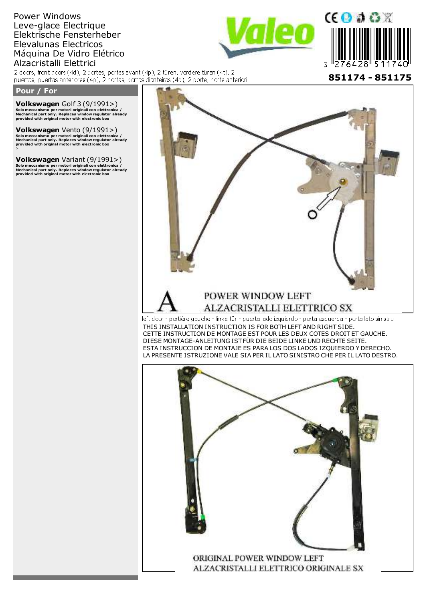# Power Windows Leve-glace Electrique Elektrische Fensterheber Elevalunas Electricos Máquina De Vidro Elétrico



Alzacristalli Elettrici<br>2 doors, front doors (4d), 2 portes, portes avant (4p), 2 türen, vordere türen (4t), 2 puertas, puertas anteriores (4p), 2 portas, portas dianteiras (4p), 2 porte, porte anteriori

## **Pour / For**

**Volkswagen**

**Volkswagen** Golf 3 (9/1991>)<br>Solo meccanismo per motori originali con elettronica /<br>Mechanical part only. Replaces window regulator already<br>provided with original motor with electronic box

**Volkswagen** Vento (9/1991>)<br>Solo meccanismo per motori originali con elettronica /<br>Mechanical part only. Replaces window regulator already<br>provided with original motor with electronic box<br>>

**Volkswagen** Variant (9/1991>)<br>Solo meccanismo per motori originali con elettronica /<br>Mechanical part only. Replaces window regulator already<br>provided with original motor with electronic box



THIS INSTALLATION INSTRUCTION IS FOR BOTH LEFT AND RIGHT SIDE. CETTE INSTRUCTION DE MONTAGE EST POUR LES DEUX COTES DROIT ET GAUCHE. DIESE MONTAGE-ANLEITUNG IST FÜR DIE BEIDE LINKE UND RECHTE SEITE. ESTA INSTRUCCION DE MONTAJE ES PARA LOS DOS LADOS IZQUIERDO Y DERECHO. LA PRESENTE ISTRUZIONE VALE SIA PER IL LATO SINISTRO CHE PER IL LATO DESTRO.

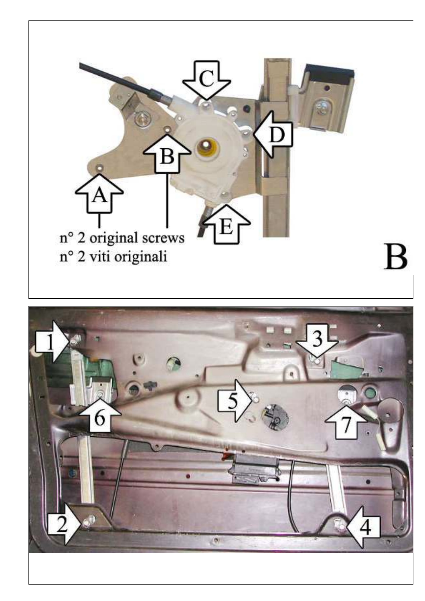